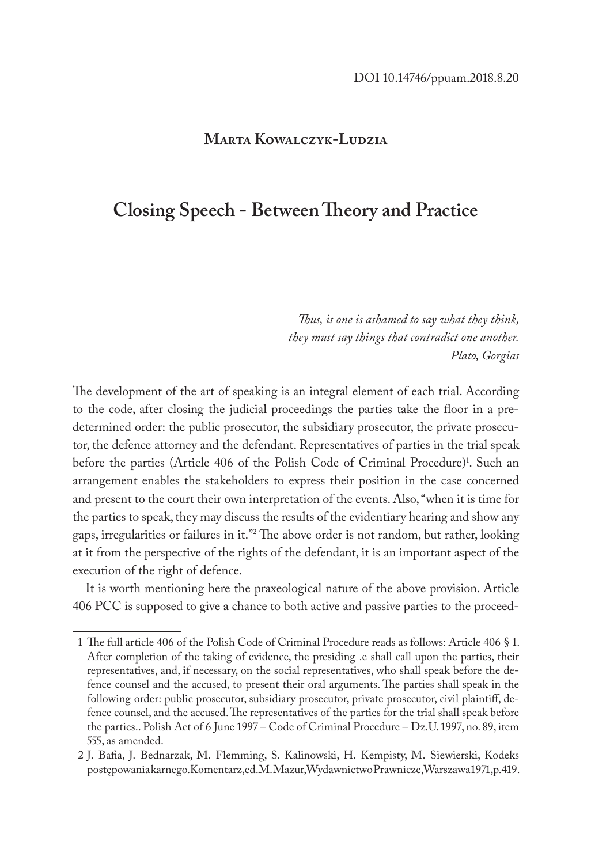#### **Marta Kowalczyk-Ludzia**

# **Closing Speech - Between Theory and Practice**

*Thus, is one is ashamed to say what they think, they must say things that contradict one another. Plato, Gorgias*

The development of the art of speaking is an integral element of each trial. According to the code, after closing the judicial proceedings the parties take the floor in a predetermined order: the public prosecutor, the subsidiary prosecutor, the private prosecutor, the defence attorney and the defendant. Representatives of parties in the trial speak before the parties (Article 406 of the Polish Code of Criminal Procedure)<sup>1</sup>. Such an arrangement enables the stakeholders to express their position in the case concerned and present to the court their own interpretation of the events. Also, "when it is time for the parties to speak, they may discuss the results of the evidentiary hearing and show any gaps, irregularities or failures in it."2 The above order is not random, but rather, looking at it from the perspective of the rights of the defendant, it is an important aspect of the execution of the right of defence.

It is worth mentioning here the praxeological nature of the above provision. Article 406 PCC is supposed to give a chance to both active and passive parties to the proceed-

<sup>1</sup> The full article 406 of the Polish Code of Criminal Procedure reads as follows: Article 406 § 1. After completion of the taking of evidence, the presiding .e shall call upon the parties, their representatives, and, if necessary, on the social representatives, who shall speak before the defence counsel and the accused, to present their oral arguments. The parties shall speak in the following order: public prosecutor, subsidiary prosecutor, private prosecutor, civil plaintiff, defence counsel, and the accused. The representatives of the parties for the trial shall speak before the parties.. Polish Act of 6 June 1997 – Code of Criminal Procedure – Dz.U. 1997, no. 89, item 555, as amended.

<sup>2</sup> J. Bafia, J. Bednarzak, M. Flemming, S. Kalinowski, H. Kempisty, M. Siewierski, Kodeks postępowania karnego. Komentarz, ed. M. Mazur, Wydawnictwo Prawnicze, Warszawa 1971, p. 419.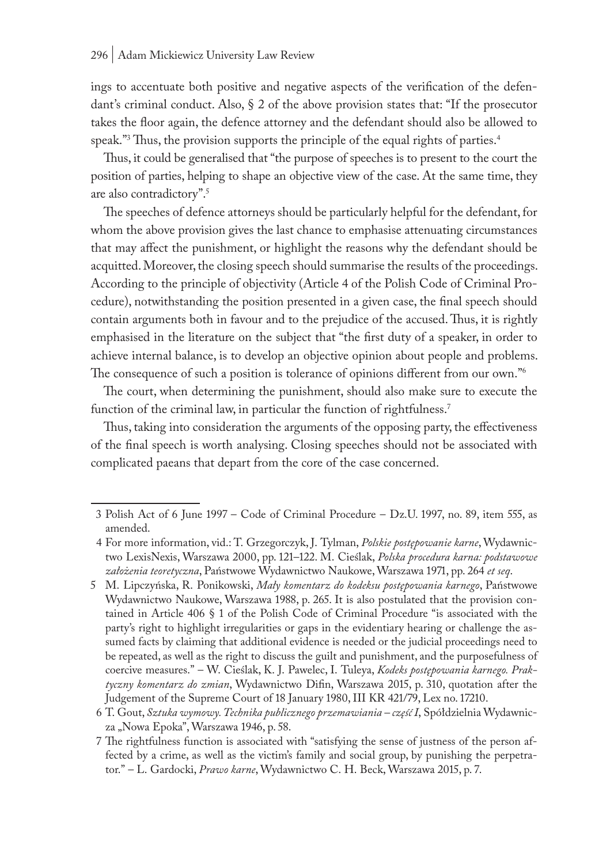ings to accentuate both positive and negative aspects of the verification of the defendant's criminal conduct. Also, § 2 of the above provision states that: "If the prosecutor takes the floor again, the defence attorney and the defendant should also be allowed to speak."3 Thus, the provision supports the principle of the equal rights of parties.4

Thus, it could be generalised that "the purpose of speeches is to present to the court the position of parties, helping to shape an objective view of the case. At the same time, they are also contradictory".5

The speeches of defence attorneys should be particularly helpful for the defendant, for whom the above provision gives the last chance to emphasise attenuating circumstances that may affect the punishment, or highlight the reasons why the defendant should be acquitted. Moreover, the closing speech should summarise the results of the proceedings. According to the principle of objectivity (Article 4 of the Polish Code of Criminal Procedure), notwithstanding the position presented in a given case, the final speech should contain arguments both in favour and to the prejudice of the accused. Thus, it is rightly emphasised in the literature on the subject that "the first duty of a speaker, in order to achieve internal balance, is to develop an objective opinion about people and problems. The consequence of such a position is tolerance of opinions different from our own."6

The court, when determining the punishment, should also make sure to execute the function of the criminal law, in particular the function of rightfulness.<sup>7</sup>

Thus, taking into consideration the arguments of the opposing party, the effectiveness of the final speech is worth analysing. Closing speeches should not be associated with complicated paeans that depart from the core of the case concerned.

<sup>3</sup> Polish Act of 6 June 1997 – Code of Criminal Procedure – Dz.U. 1997, no. 89, item 555, as amended.

<sup>4</sup> For more information, vid.: T. Grzegorczyk, J. Tylman, *Polskie postępowanie karne*, Wydawnictwo LexisNexis, Warszawa 2000, pp. 121–122. M. Cieślak, *Polska procedura karna: podstawowe założenia teoretyczna*, Państwowe Wydawnictwo Naukowe, Warszawa 1971, pp. 264 *et seq*.

<sup>5</sup> M. Lipczyńska, R. Ponikowski, *Mały komentarz do kodeksu postępowania karnego*, Państwowe Wydawnictwo Naukowe, Warszawa 1988, p. 265. It is also postulated that the provision contained in Article 406 § 1 of the Polish Code of Criminal Procedure "is associated with the party's right to highlight irregularities or gaps in the evidentiary hearing or challenge the assumed facts by claiming that additional evidence is needed or the judicial proceedings need to be repeated, as well as the right to discuss the guilt and punishment, and the purposefulness of coercive measures." – W. Cieślak, K. J. Pawelec, I. Tuleya, *Kodeks postępowania karnego. Praktyczny komentarz do zmian*, Wydawnictwo Difin, Warszawa 2015, p. 310, quotation after the Judgement of the Supreme Court of 18 January 1980, III KR 421/79, Lex no. 17210.

<sup>6</sup> T. Gout, *Sztuka wymowy. Technika publicznego przemawiania – część I*, Spółdzielnia Wydawnicza "Nowa Epoka", Warszawa 1946, p. 58.

<sup>7</sup> The rightfulness function is associated with "satisfying the sense of justness of the person affected by a crime, as well as the victim's family and social group, by punishing the perpetrator." – L. Gardocki, *Prawo karne*, Wydawnictwo C. H. Beck, Warszawa 2015, p. 7.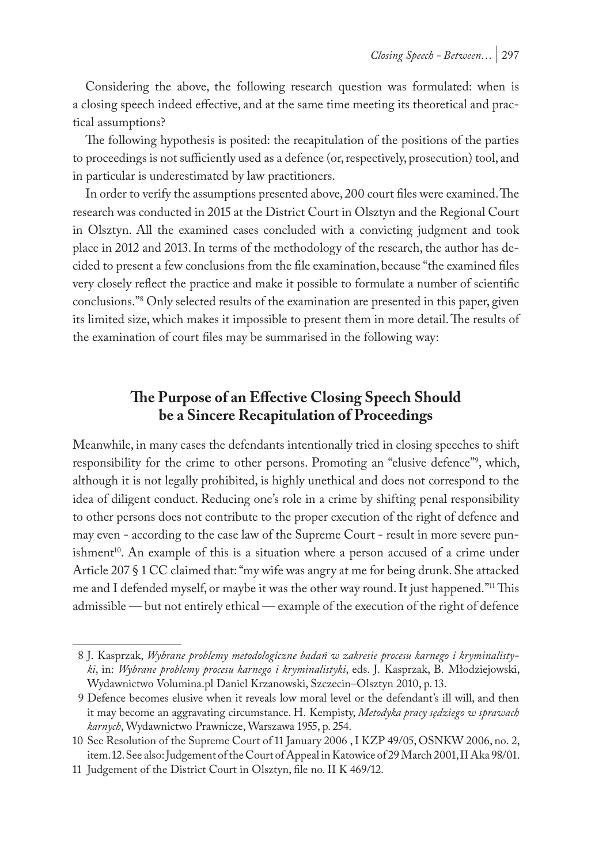Considering the above, the following research question was formulated: when is a closing speech indeed effective, and at the same time meeting its theoretical and practical assumptions?

The following hypothesis is posited: the recapitulation of the positions of the parties to proceedings is not sufficiently used as a defence (or, respectively, prosecution) tool, and in particular is underestimated by law practitioners.

In order to verify the assumptions presented above, 200 court files were examined. The research was conducted in 2015 at the District Court in Olsztyn and the Regional Court in Olsztyn. All the examined cases concluded with a convicting judgment and took place in 2012 and 2013. In terms of the methodology of the research, the author has decided to present a few conclusions from the file examination, because "the examined files very closely reflect the practice and make it possible to formulate a number of scientific conclusions."8 Only selected results of the examination are presented in this paper, given its limited size, which makes it impossible to present them in more detail. The results of the examination of court files may be summarised in the following way:

# **The Purpose of an Effective Closing Speech Should be a Sincere Recapitulation of Proceedings**

Meanwhile, in many cases the defendants intentionally tried in closing speeches to shift responsibility for the crime to other persons. Promoting an "elusive defence"9 , which, although it is not legally prohibited, is highly unethical and does not correspond to the idea of diligent conduct. Reducing one's role in a crime by shifting penal responsibility to other persons does not contribute to the proper execution of the right of defence and may even - according to the case law of the Supreme Court - result in more severe punishment<sup>10</sup>. An example of this is a situation where a person accused of a crime under Article 207 § 1 CC claimed that: "my wife was angry at me for being drunk. She attacked me and I defended myself, or maybe it was the other way round. It just happened."11 This admissible — but not entirely ethical — example of the execution of the right of defence

<sup>8</sup> J. Kasprzak, *Wybrane problemy metodologiczne badań w zakresie procesu karnego i kryminalistyki*, in: *Wybrane problemy procesu karnego i kryminalistyki*, eds. J. Kasprzak, B. Młodziejowski, Wydawnictwo Volumina.pl Daniel Krzanowski, Szczecin–Olsztyn 2010, p. 13.

<sup>9</sup> Defence becomes elusive when it reveals low moral level or the defendant's ill will, and then it may become an aggravating circumstance. H. Kempisty, *Metodyka pracy sędziego w sprawach karnych*, Wydawnictwo Prawnicze, Warszawa 1955, p. 254.

<sup>10</sup> See Resolution of the Supreme Court of 11 January 2006 , I KZP 49/05, OSNKW 2006, no. 2, item. 12. See also: Judgement of the Court of Appeal in Katowice of 29 March 2001, II Aka 98/01.

<sup>11</sup> Judgement of the District Court in Olsztyn, file no. II K 469/12.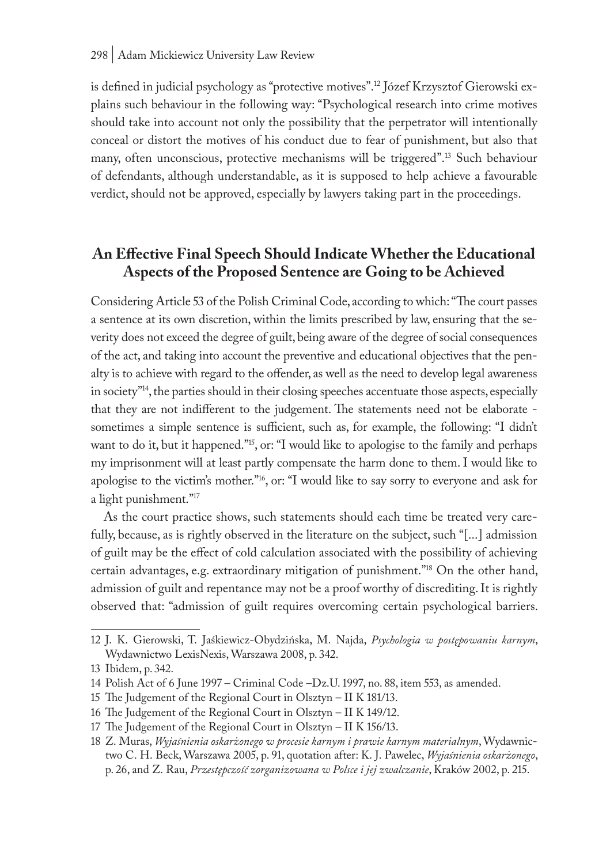is defined in judicial psychology as "protective motives".12 Józef Krzysztof Gierowski explains such behaviour in the following way: "Psychological research into crime motives should take into account not only the possibility that the perpetrator will intentionally conceal or distort the motives of his conduct due to fear of punishment, but also that many, often unconscious, protective mechanisms will be triggered".13 Such behaviour of defendants, although understandable, as it is supposed to help achieve a favourable verdict, should not be approved, especially by lawyers taking part in the proceedings.

## **An Effective Final Speech Should Indicate Whether the Educational Aspects of the Proposed Sentence are Going to be Achieved**

Considering Article 53 of the Polish Criminal Code, according to which: "The court passes a sentence at its own discretion, within the limits prescribed by law, ensuring that the severity does not exceed the degree of guilt, being aware of the degree of social consequences of the act, and taking into account the preventive and educational objectives that the penalty is to achieve with regard to the offender, as well as the need to develop legal awareness in society"<sup>14</sup>, the parties should in their closing speeches accentuate those aspects, especially that they are not indifferent to the judgement. The statements need not be elaborate sometimes a simple sentence is sufficient, such as, for example, the following: "I didn't want to do it, but it happened."<sup>15</sup>, or: "I would like to apologise to the family and perhaps my imprisonment will at least partly compensate the harm done to them. I would like to apologise to the victim's mother."16, or: "I would like to say sorry to everyone and ask for a light punishment."17

As the court practice shows, such statements should each time be treated very carefully, because, as is rightly observed in the literature on the subject, such "[...] admission of guilt may be the effect of cold calculation associated with the possibility of achieving certain advantages, e.g. extraordinary mitigation of punishment."18 On the other hand, admission of guilt and repentance may not be a proof worthy of discrediting. It is rightly observed that: "admission of guilt requires overcoming certain psychological barriers.

<sup>12</sup> J. K. Gierowski, T. Jaśkiewicz-Obydzińska, M. Najda, *Psychologia w postępowaniu karnym*, Wydawnictwo LexisNexis, Warszawa 2008, p. 342.

<sup>13</sup> Ibidem, p. 342.

<sup>14</sup> Polish Act of 6 June 1997 – Criminal Code –Dz.U. 1997, no. 88, item 553, as amended.

<sup>15</sup> The Judgement of the Regional Court in Olsztyn – II K 181/13.

<sup>16</sup> The Judgement of the Regional Court in Olsztyn – II K 149/12.

<sup>17</sup> The Judgement of the Regional Court in Olsztyn – II K 156/13.

<sup>18</sup> Z. Muras, *Wyjaśnienia oskarżonego w procesie karnym i prawie karnym materialnym*, Wydawnictwo C. H. Beck, Warszawa 2005, p. 91, quotation after: K. J. Pawelec, *Wyjaśnienia oskarżonego*, p. 26, and Z. Rau, *Przestępczość zorganizowana w Polsce i jej zwalczanie*, Kraków 2002, p. 215.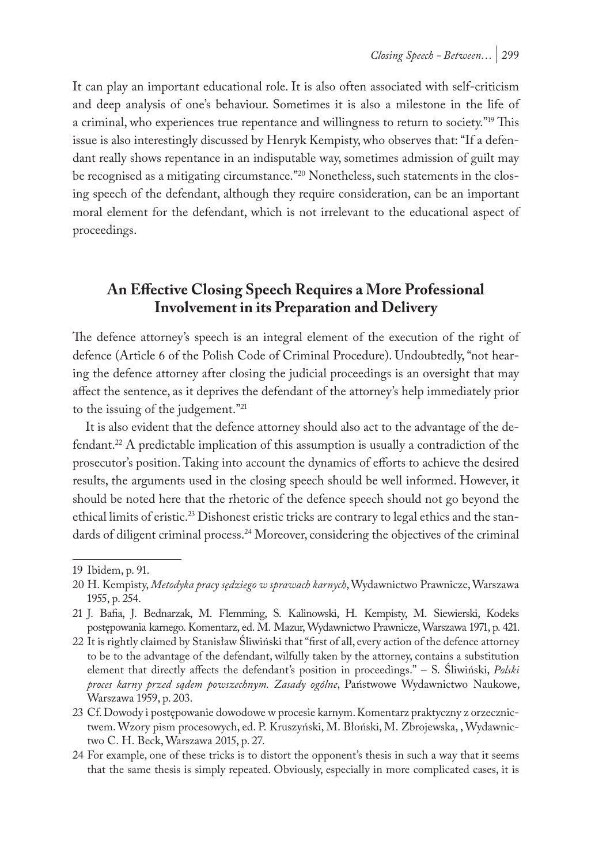It can play an important educational role. It is also often associated with self-criticism and deep analysis of one's behaviour. Sometimes it is also a milestone in the life of a criminal, who experiences true repentance and willingness to return to society."<sup>19</sup> This issue is also interestingly discussed by Henryk Kempisty, who observes that: "If a defendant really shows repentance in an indisputable way, sometimes admission of guilt may be recognised as a mitigating circumstance."20 Nonetheless, such statements in the closing speech of the defendant, although they require consideration, can be an important moral element for the defendant, which is not irrelevant to the educational aspect of proceedings.

### **An Effective Closing Speech Requires a More Professional Involvement in its Preparation and Delivery**

The defence attorney's speech is an integral element of the execution of the right of defence (Article 6 of the Polish Code of Criminal Procedure). Undoubtedly, "not hearing the defence attorney after closing the judicial proceedings is an oversight that may affect the sentence, as it deprives the defendant of the attorney's help immediately prior to the issuing of the judgement."21

It is also evident that the defence attorney should also act to the advantage of the defendant.<sup>22</sup> A predictable implication of this assumption is usually a contradiction of the prosecutor's position. Taking into account the dynamics of efforts to achieve the desired results, the arguments used in the closing speech should be well informed. However, it should be noted here that the rhetoric of the defence speech should not go beyond the ethical limits of eristic.<sup>23</sup> Dishonest eristic tricks are contrary to legal ethics and the standards of diligent criminal process.<sup>24</sup> Moreover, considering the objectives of the criminal

<sup>19</sup> Ibidem, p. 91.

<sup>20</sup> H. Kempisty, *Metodyka pracy sędziego w sprawach karnych*, Wydawnictwo Prawnicze, Warszawa 1955, p. 254.

<sup>21</sup> J. Bafia, J. Bednarzak, M. Flemming, S. Kalinowski, H. Kempisty, M. Siewierski, Kodeks postępowania karnego. Komentarz, ed. M. Mazur, Wydawnictwo Prawnicze, Warszawa 1971, p. 421.

<sup>22</sup> It is rightly claimed by Stanisław Śliwiński that "first of all, every action of the defence attorney to be to the advantage of the defendant, wilfully taken by the attorney, contains a substitution element that directly affects the defendant's position in proceedings." – S. Śliwiński, *Polski proces karny przed sądem powszechnym. Zasady ogólne*, Państwowe Wydawnictwo Naukowe, Warszawa 1959, p. 203.

<sup>23</sup> Cf. Dowody i postępowanie dowodowe w procesie karnym. Komentarz praktyczny z orzecznictwem. Wzory pism procesowych, ed. P. Kruszyński, M. Błoński, M. Zbrojewska, , Wydawnictwo C. H. Beck, Warszawa 2015, p. 27.

<sup>24</sup> For example, one of these tricks is to distort the opponent's thesis in such a way that it seems that the same thesis is simply repeated. Obviously, especially in more complicated cases, it is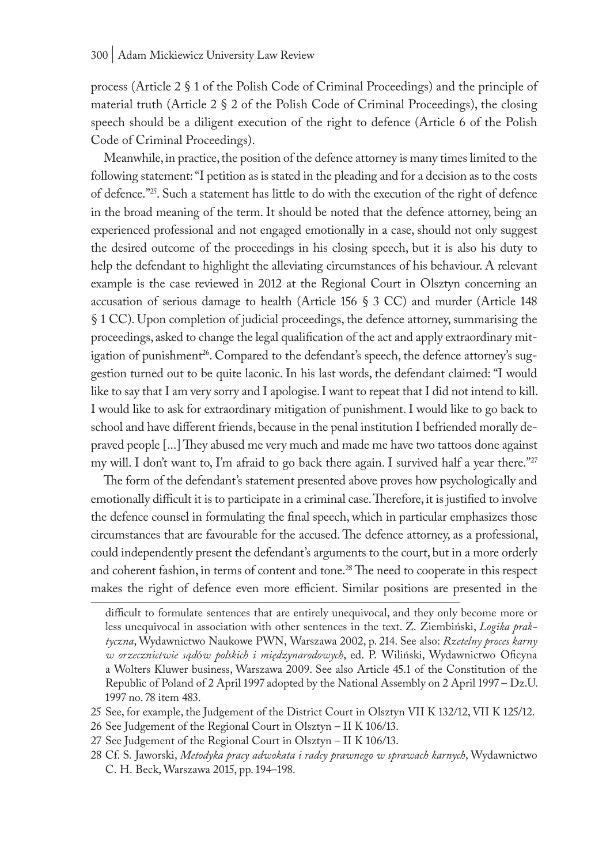process (Article 2 § 1 of the Polish Code of Criminal Proceedings) and the principle of material truth (Article  $2 \S 2$  of the Polish Code of Criminal Proceedings), the closing speech should be a diligent execution of the right to defence (Article 6 of the Polish Code of Criminal Proceedings).

Meanwhile, in practice, the position of the defence attorney is many times limited to the following statement: "I petition as is stated in the pleading and for a decision as to the costs of defence."25. Such a statement has little to do with the execution of the right of defence in the broad meaning of the term. It should be noted that the defence attorney, being an experienced professional and not engaged emotionally in a case, should not only suggest the desired outcome of the proceedings in his closing speech, but it is also his duty to help the defendant to highlight the alleviating circumstances of his behaviour. A relevant example is the case reviewed in 2012 at the Regional Court in Olsztyn concerning an accusation of serious damage to health (Article 156 § 3 CC) and murder (Article 148 § 1 CC). Upon completion of judicial proceedings, the defence attorney, summarising the proceedings, asked to change the legal qualification of the act and apply extraordinary mitigation of punishment<sup>26</sup>. Compared to the defendant's speech, the defence attorney's suggestion turned out to be quite laconic. In his last words, the defendant claimed: "I would like to say that I am very sorry and I apologise. I want to repeat that I did not intend to kill. I would like to ask for extraordinary mitigation of punishment. I would like to go back to school and have different friends, because in the penal institution I befriended morally depraved people [...] They abused me very much and made me have two tattoos done against my will. I don't want to, I'm afraid to go back there again. I survived half a year there."<sup>27</sup>

The form of the defendant's statement presented above proves how psychologically and emotionally difficult it is to participate in a criminal case. Therefore, it is justified to involve the defence counsel in formulating the final speech, which in particular emphasizes those circumstances that are favourable for the accused. The defence attorney, as a professional, could independently present the defendant's arguments to the court, but in a more orderly and coherent fashion, in terms of content and tone.<sup>28</sup> The need to cooperate in this respect makes the right of defence even more efficient. Similar positions are presented in the

- 26 See Judgement of the Regional Court in Olsztyn II K 106/13.
- 27 See Judgement of the Regional Court in Olsztyn II K 106/13.
- 28 Cf. S. Jaworski, *Metodyka pracy adwokata i radcy prawnego w sprawach karnych*, Wydawnictwo C. H. Beck, Warszawa 2015, pp. 194–198.

difficult to formulate sentences that are entirely unequivocal, and they only become more or less unequivocal in association with other sentences in the text. Z. Ziembiński, *Logika praktyczna*, Wydawnictwo Naukowe PWN, Warszawa 2002, p. 214. See also: *Rzetelny proces karny w orzecznictwie sąd*ó*w polskich i międzynarodowych*, ed. P. Wiliński, Wydawnictwo Oficyna a Wolters Kluwer business, Warszawa 2009. See also Article 45.1 of the Constitution of the Republic of Poland of 2 April 1997 adopted by the National Assembly on 2 April 1997 – Dz.U. 1997 no. 78 item 483.

<sup>25</sup> See, for example, the Judgement of the District Court in Olsztyn VII K 132/12, VII K 125/12.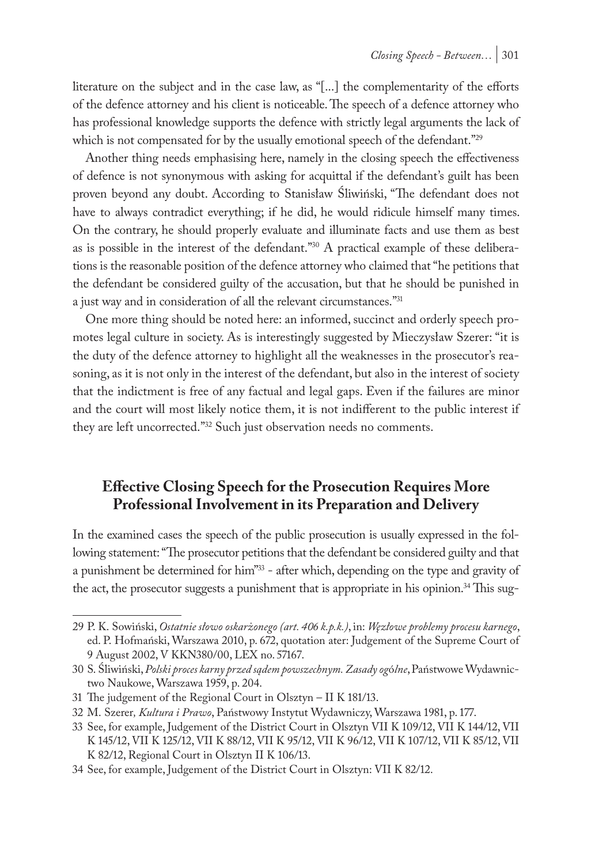literature on the subject and in the case law, as "[...] the complementarity of the efforts of the defence attorney and his client is noticeable. The speech of a defence attorney who has professional knowledge supports the defence with strictly legal arguments the lack of which is not compensated for by the usually emotional speech of the defendant."29

Another thing needs emphasising here, namely in the closing speech the effectiveness of defence is not synonymous with asking for acquittal if the defendant's guilt has been proven beyond any doubt. According to Stanisław Śliwiński, "The defendant does not have to always contradict everything; if he did, he would ridicule himself many times. On the contrary, he should properly evaluate and illuminate facts and use them as best as is possible in the interest of the defendant."30 A practical example of these deliberations is the reasonable position of the defence attorney who claimed that "he petitions that the defendant be considered guilty of the accusation, but that he should be punished in a just way and in consideration of all the relevant circumstances."31

One more thing should be noted here: an informed, succinct and orderly speech promotes legal culture in society. As is interestingly suggested by Mieczysław Szerer: "it is the duty of the defence attorney to highlight all the weaknesses in the prosecutor's reasoning, as it is not only in the interest of the defendant, but also in the interest of society that the indictment is free of any factual and legal gaps. Even if the failures are minor and the court will most likely notice them, it is not indifferent to the public interest if they are left uncorrected."<sup>32</sup> Such just observation needs no comments.

### **Effective Closing Speech for the Prosecution Requires More Professional Involvement in its Preparation and Delivery**

In the examined cases the speech of the public prosecution is usually expressed in the following statement: "The prosecutor petitions that the defendant be considered guilty and that a punishment be determined for him"33 - after which, depending on the type and gravity of the act, the prosecutor suggests a punishment that is appropriate in his opinion.<sup>34</sup> This sug-

<sup>29</sup> P. K. Sowiński, *Ostatnie słowo oskarżonego (art. 406 k.p.k.)*, in: *Węzłowe problemy procesu karnego*, ed. P. Hofmański, Warszawa 2010, p. 672, quotation ater: Judgement of the Supreme Court of 9 August 2002, V KKN380/00, LEX no. 57167.

<sup>30</sup> S. Śliwiński, *Polski proces karny przed sądem powszechnym. Zasady og*ó*lne*, Państwowe Wydawnictwo Naukowe, Warszawa 1959, p. 204.

<sup>31</sup> The judgement of the Regional Court in Olsztyn – II K 181/13.

<sup>32</sup> M. Szerer*, Kultura i Prawo*, Państwowy Instytut Wydawniczy, Warszawa 1981, p. 177.

<sup>33</sup> See, for example, Judgement of the District Court in Olsztyn VII K 109/12, VII K 144/12, VII K 145/12, VII K 125/12, VII K 88/12, VII K 95/12, VII K 96/12, VII K 107/12, VII K 85/12, VII K 82/12, Regional Court in Olsztyn II K 106/13.

<sup>34</sup> See, for example, Judgement of the District Court in Olsztyn: VII K 82/12.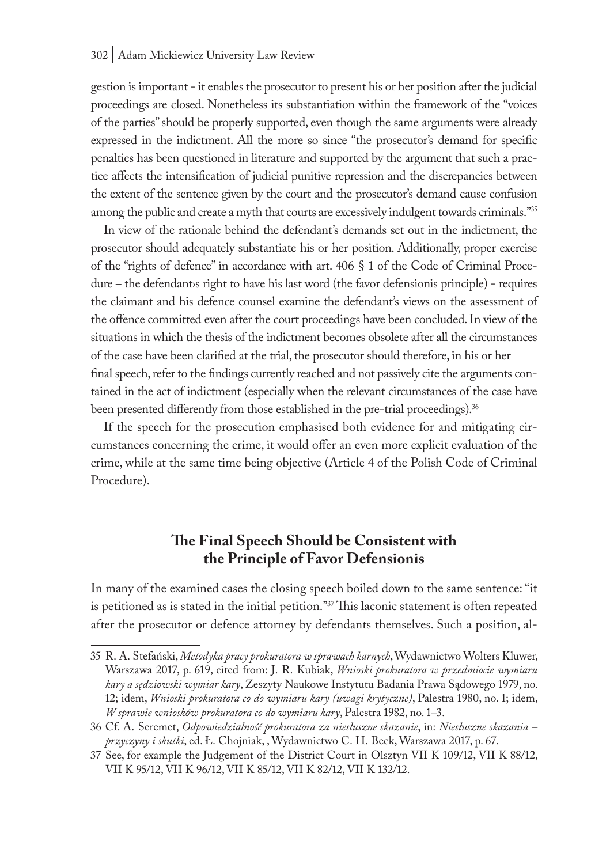gestion is important - it enables the prosecutor to present his or her position after the judicial proceedings are closed. Nonetheless its substantiation within the framework of the "voices of the parties" should be properly supported, even though the same arguments were already expressed in the indictment. All the more so since "the prosecutor's demand for specific penalties has been questioned in literature and supported by the argument that such a practice affects the intensification of judicial punitive repression and the discrepancies between the extent of the sentence given by the court and the prosecutor's demand cause confusion among the public and create a myth that courts are excessively indulgent towards criminals."<sup>35</sup>

In view of the rationale behind the defendant's demands set out in the indictment, the prosecutor should adequately substantiate his or her position. Additionally, proper exercise of the "rights of defence" in accordance with art. 406 § 1 of the Code of Criminal Procedure – the defendants right to have his last word (the favor defensionis principle) - requires the claimant and his defence counsel examine the defendant's views on the assessment of the offence committed even after the court proceedings have been concluded. In view of the situations in which the thesis of the indictment becomes obsolete after all the circumstances of the case have been clarified at the trial, the prosecutor should therefore, in his or her final speech, refer to the findings currently reached and not passively cite the arguments contained in the act of indictment (especially when the relevant circumstances of the case have been presented differently from those established in the pre-trial proceedings).<sup>36</sup>

If the speech for the prosecution emphasised both evidence for and mitigating circumstances concerning the crime, it would offer an even more explicit evaluation of the crime, while at the same time being objective (Article 4 of the Polish Code of Criminal Procedure).

### **The Final Speech Should be Consistent with the Principle of Favor Defensionis**

In many of the examined cases the closing speech boiled down to the same sentence: "it is petitioned as is stated in the initial petition."37 This laconic statement is often repeated after the prosecutor or defence attorney by defendants themselves. Such a position, al-

<sup>35</sup> R. A. Stefański, *Metodyka pracy prokuratora w sprawach karnych*, Wydawnictwo Wolters Kluwer, Warszawa 2017, p. 619, cited from: J. R. Kubiak, *Wnioski prokuratora w przedmiocie wymiaru kary a sędziowski wymiar kary*, Zeszyty Naukowe Instytutu Badania Prawa Sądowego 1979, no. 12; idem, *Wnioski prokuratora co do wymiaru kary (uwagi krytyczne)*, Palestra 1980, no. 1; idem, *W sprawie wniosków prokuratora co do wymiaru kary*, Palestra 1982, no. 1–3.

<sup>36</sup> Cf. A. Seremet, *Odpowiedzialność prokuratora za niesłuszne skazanie*, in: *Niesłuszne skazania – przyczyny i skutki*, ed. Ł. Chojniak, , Wydawnictwo C. H. Beck, Warszawa 2017, p. 67.

<sup>37</sup> See, for example the Judgement of the District Court in Olsztyn VII K 109/12, VII K 88/12, VII K 95/12, VII K 96/12, VII K 85/12, VII K 82/12, VII K 132/12.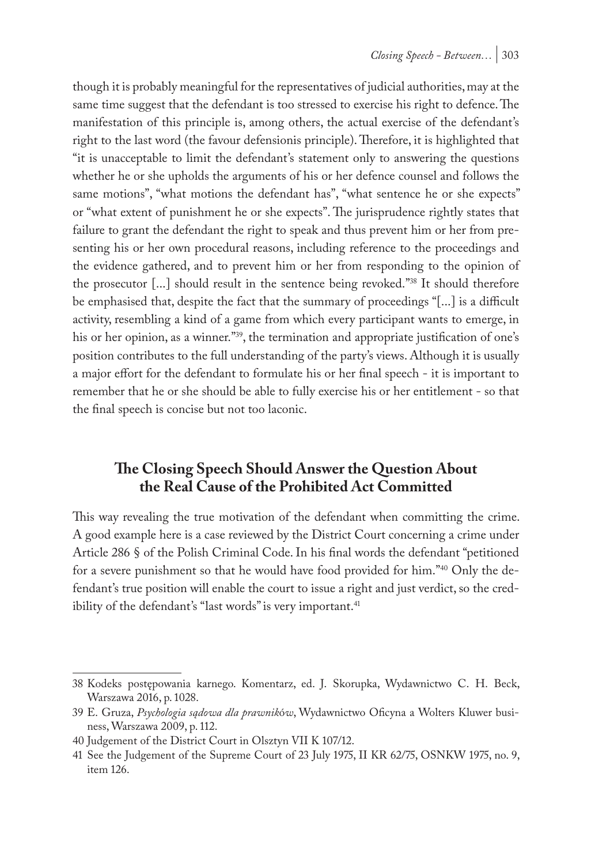though it is probably meaningful for the representatives of judicial authorities, may at the same time suggest that the defendant is too stressed to exercise his right to defence. The manifestation of this principle is, among others, the actual exercise of the defendant's right to the last word (the favour defensionis principle). Therefore, it is highlighted that "it is unacceptable to limit the defendant's statement only to answering the questions whether he or she upholds the arguments of his or her defence counsel and follows the same motions", "what motions the defendant has", "what sentence he or she expects" or "what extent of punishment he or she expects". The jurisprudence rightly states that failure to grant the defendant the right to speak and thus prevent him or her from presenting his or her own procedural reasons, including reference to the proceedings and the evidence gathered, and to prevent him or her from responding to the opinion of the prosecutor [...] should result in the sentence being revoked."38 It should therefore be emphasised that, despite the fact that the summary of proceedings "[...] is a difficult activity, resembling a kind of a game from which every participant wants to emerge, in his or her opinion, as a winner."<sup>39</sup>, the termination and appropriate justification of one's position contributes to the full understanding of the party's views. Although it is usually a major effort for the defendant to formulate his or her final speech - it is important to remember that he or she should be able to fully exercise his or her entitlement - so that the final speech is concise but not too laconic.

### **The Closing Speech Should Answer the Question About the Real Cause of the Prohibited Act Committed**

This way revealing the true motivation of the defendant when committing the crime. A good example here is a case reviewed by the District Court concerning a crime under Article 286 § of the Polish Criminal Code. In his final words the defendant "petitioned for a severe punishment so that he would have food provided for him."40 Only the defendant's true position will enable the court to issue a right and just verdict, so the credibility of the defendant's "last words" is very important.<sup>41</sup>

<sup>38</sup> Kodeks postępowania karnego. Komentarz, ed. J. Skorupka, Wydawnictwo C. H. Beck, Warszawa 2016, p. 1028.

<sup>39</sup> E. Gruza, *Psychologia sądowa dla prawnik*ó*w*, Wydawnictwo Oficyna a Wolters Kluwer business, Warszawa 2009, p. 112.

<sup>40</sup> Judgement of the District Court in Olsztyn VII K 107/12.

<sup>41</sup> See the Judgement of the Supreme Court of 23 July 1975, II KR 62/75, OSNKW 1975, no. 9, item 126.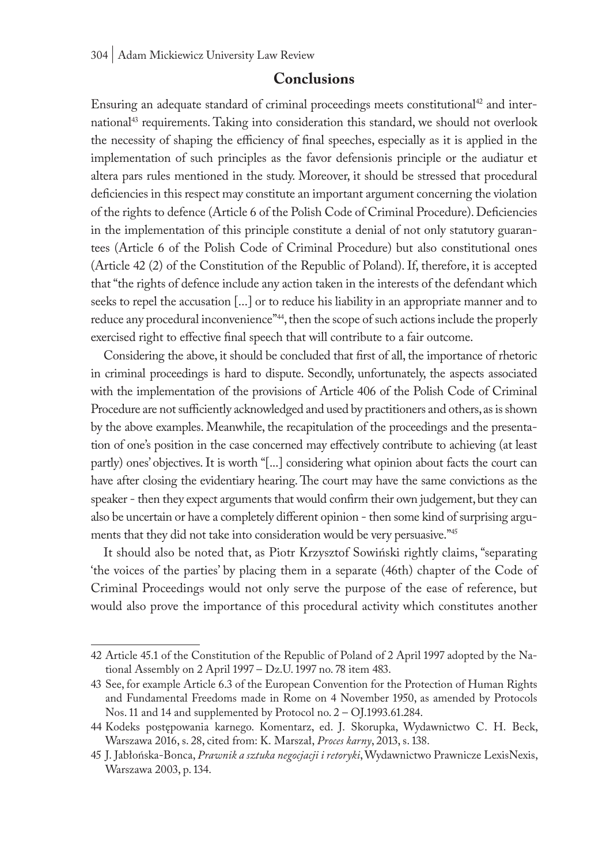#### **Conclusions**

Ensuring an adequate standard of criminal proceedings meets constitutional<sup>42</sup> and international<sup>43</sup> requirements. Taking into consideration this standard, we should not overlook the necessity of shaping the efficiency of final speeches, especially as it is applied in the implementation of such principles as the favor defensionis principle or the audiatur et altera pars rules mentioned in the study. Moreover, it should be stressed that procedural deficiencies in this respect may constitute an important argument concerning the violation of the rights to defence (Article 6 of the Polish Code of Criminal Procedure). Deficiencies in the implementation of this principle constitute a denial of not only statutory guarantees (Article 6 of the Polish Code of Criminal Procedure) but also constitutional ones (Article 42 (2) of the Constitution of the Republic of Poland). If, therefore, it is accepted that "the rights of defence include any action taken in the interests of the defendant which seeks to repel the accusation [...] or to reduce his liability in an appropriate manner and to reduce any procedural inconvenience"44, then the scope of such actions include the properly exercised right to effective final speech that will contribute to a fair outcome.

Considering the above, it should be concluded that first of all, the importance of rhetoric in criminal proceedings is hard to dispute. Secondly, unfortunately, the aspects associated with the implementation of the provisions of Article 406 of the Polish Code of Criminal Procedure are not sufficiently acknowledged and used by practitioners and others, as is shown by the above examples. Meanwhile, the recapitulation of the proceedings and the presentation of one's position in the case concerned may effectively contribute to achieving (at least partly) ones' objectives. It is worth "[...] considering what opinion about facts the court can have after closing the evidentiary hearing. The court may have the same convictions as the speaker - then they expect arguments that would confirm their own judgement, but they can also be uncertain or have a completely different opinion - then some kind of surprising arguments that they did not take into consideration would be very persuasive."45

It should also be noted that, as Piotr Krzysztof Sowiński rightly claims, "separating 'the voices of the parties' by placing them in a separate (46th) chapter of the Code of Criminal Proceedings would not only serve the purpose of the ease of reference, but would also prove the importance of this procedural activity which constitutes another

<sup>42</sup> Article 45.1 of the Constitution of the Republic of Poland of 2 April 1997 adopted by the National Assembly on 2 April 1997 – Dz.U. 1997 no. 78 item 483.

<sup>43</sup> See, for example Article 6.3 of the European Convention for the Protection of Human Rights and Fundamental Freedoms made in Rome on 4 November 1950, as amended by Protocols Nos. 11 and 14 and supplemented by Protocol no. 2 – OJ.1993.61.284.

<sup>44</sup> Kodeks postępowania karnego. Komentarz, ed. J. Skorupka, Wydawnictwo C. H. Beck, Warszawa 2016, s. 28, cited from: K. Marszał, *Proces karny*, 2013, s. 138.

<sup>45</sup> J. Jabłońska-Bonca, *Prawnik a sztuka negocjacji i retoryki*, Wydawnictwo Prawnicze LexisNexis, Warszawa 2003, p. 134.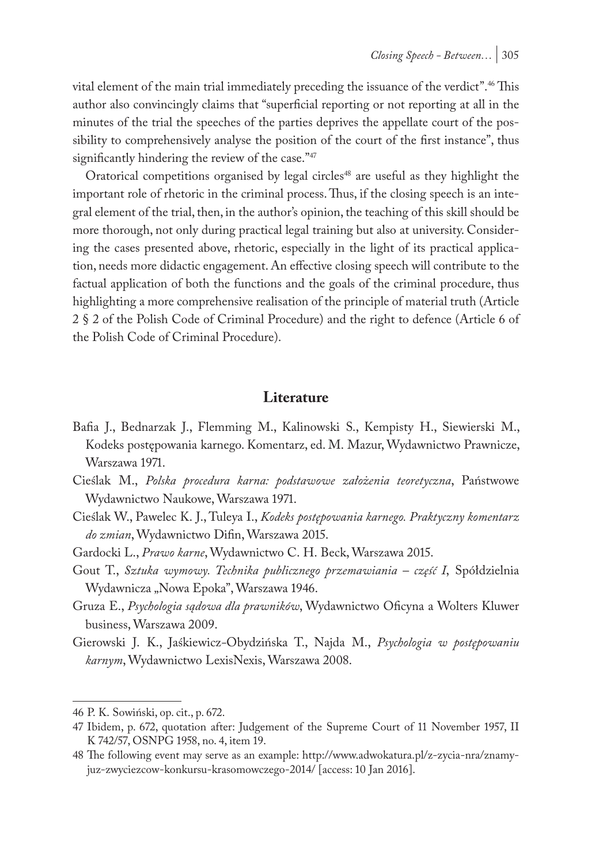vital element of the main trial immediately preceding the issuance of the verdict".46 This author also convincingly claims that "superficial reporting or not reporting at all in the minutes of the trial the speeches of the parties deprives the appellate court of the possibility to comprehensively analyse the position of the court of the first instance", thus significantly hindering the review of the case."47

Oratorical competitions organised by legal circles<sup>48</sup> are useful as they highlight the important role of rhetoric in the criminal process. Thus, if the closing speech is an integral element of the trial, then, in the author's opinion, the teaching of this skill should be more thorough, not only during practical legal training but also at university. Considering the cases presented above, rhetoric, especially in the light of its practical application, needs more didactic engagement. An effective closing speech will contribute to the factual application of both the functions and the goals of the criminal procedure, thus highlighting a more comprehensive realisation of the principle of material truth (Article 2 § 2 of the Polish Code of Criminal Procedure) and the right to defence (Article 6 of the Polish Code of Criminal Procedure).

#### **Literature**

- Bafia J., Bednarzak J., Flemming M., Kalinowski S., Kempisty H., Siewierski M., Kodeks postępowania karnego. Komentarz, ed. M. Mazur, Wydawnictwo Prawnicze, Warszawa 1971.
- Cieślak M., *Polska procedura karna: podstawowe założenia teoretyczna*, Państwowe Wydawnictwo Naukowe, Warszawa 1971.
- Cieślak W., Pawelec K. J., Tuleya I., *Kodeks postępowania karnego. Praktyczny komentarz do zmian*, Wydawnictwo Difin, Warszawa 2015.
- Gardocki L., *Prawo karne*, Wydawnictwo C. H. Beck, Warszawa 2015.
- Gout T., *Sztuka wymowy. Technika publicznego przemawiania część I*, Spółdzielnia Wydawnicza "Nowa Epoka", Warszawa 1946.
- Gruza E., *Psychologia sądowa dla prawników*, Wydawnictwo Oficyna a Wolters Kluwer business, Warszawa 2009.
- Gierowski J. K., Jaśkiewicz*-*Obydzińska T., Najda M., *Psychologia w postępowaniu karnym*, Wydawnictwo LexisNexis, Warszawa 2008.

<sup>46</sup> P. K. Sowiński, op. cit., p. 672.

<sup>47</sup> Ibidem, p. 672, quotation after: Judgement of the Supreme Court of 11 November 1957, II K 742/57, OSNPG 1958, no. 4, item 19.

<sup>48</sup> The following event may serve as an example: http://www.adwokatura.pl/z-zycia-nra/znamyjuz-zwyciezcow-konkursu-krasomowczego-2014/ [access: 10 Jan 2016].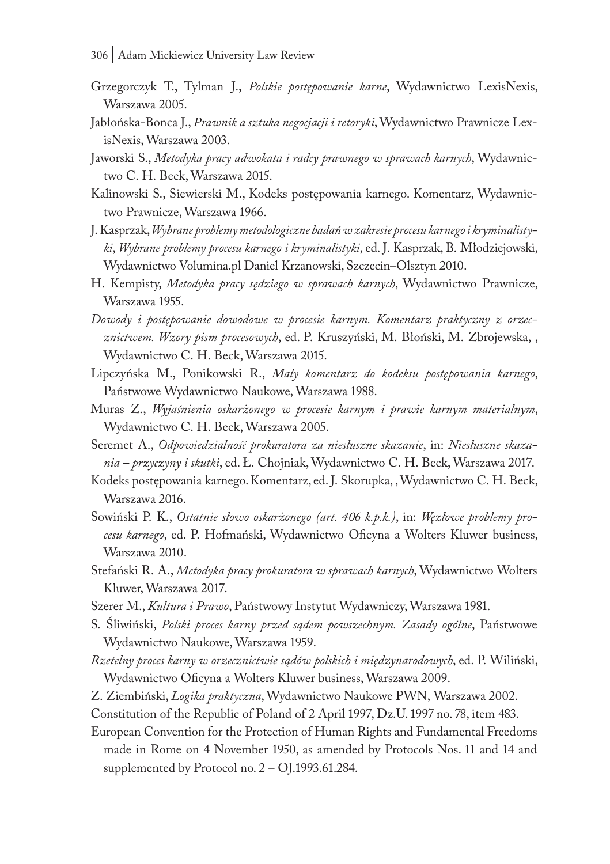- 306 | Adam Mickiewicz University Law Review
- Grzegorczyk T., Tylman J., *Polskie postępowanie karne*, Wydawnictwo LexisNexis, Warszawa 2005.
- Jabłońska-Bonca J., *Prawnik a sztuka negocjacji i retoryki*, Wydawnictwo Prawnicze LexisNexis, Warszawa 2003.
- Jaworski S., *Metodyka pracy adwokata i radcy prawnego w sprawach karnych*, Wydawnictwo C. H. Beck, Warszawa 2015.
- Kalinowski S., Siewierski M., Kodeks postępowania karnego. Komentarz, Wydawnictwo Prawnicze, Warszawa 1966.
- J. Kasprzak, *Wybrane problemy metodologiczne badań w zakresie procesu karnego i kryminalistyki*, *Wybrane problemy procesu karnego i kryminalistyki*, ed. J. Kasprzak, B. Młodziejowski, Wydawnictwo Volumina.pl Daniel Krzanowski, Szczecin–Olsztyn 2010.
- H. Kempisty, *Metodyka pracy sędziego w sprawach karnych*, Wydawnictwo Prawnicze, Warszawa 1955.
- *Dowody i postępowanie dowodowe w procesie karnym. Komentarz praktyczny z orzecznictwem. Wzory pism procesowych*, ed. P. Kruszyński, M. Błoński, M. Zbrojewska, , Wydawnictwo C. H. Beck, Warszawa 2015.
- Lipczyńska M., Ponikowski R., *Mały komentarz do kodeksu postępowania karnego*, Państwowe Wydawnictwo Naukowe, Warszawa 1988.
- Muras Z., *Wyjaśnienia oskarżonego w procesie karnym i prawie karnym materialnym*, Wydawnictwo C. H. Beck, Warszawa 2005.
- Seremet A., *Odpowiedzialność prokuratora za niesłuszne skazanie*, in: *Niesłuszne skazania – przyczyny i skutki*, ed. Ł. Chojniak, Wydawnictwo C. H. Beck, Warszawa 2017.
- Kodeks postępowania karnego. Komentarz, ed. J. Skorupka, , Wydawnictwo C. H. Beck, Warszawa 2016.
- Sowiński P. K., *Ostatnie słowo oskarżonego (art. 406 k.p.k.)*, in: *Węzłowe problemy procesu karnego*, ed. P. Hofmański, Wydawnictwo Oficyna a Wolters Kluwer business, Warszawa 2010.
- Stefański R. A., *Metodyka pracy prokuratora w sprawach karnych*, Wydawnictwo Wolters Kluwer, Warszawa 2017.
- Szerer M., *Kultura i Prawo*, Państwowy Instytut Wydawniczy, Warszawa 1981.
- S. Śliwiński, *Polski proces karny przed sądem powszechnym. Zasady ogólne*, Państwowe Wydawnictwo Naukowe, Warszawa 1959.
- *Rzetelny proces karny w orzecznictwie sądów polskich i międzynarodowych*, ed. P. Wiliński, Wydawnictwo Oficyna a Wolters Kluwer business, Warszawa 2009.
- Z. Ziembiński, *Logika praktyczna*, Wydawnictwo Naukowe PWN, Warszawa 2002.
- Constitution of the Republic of Poland of 2 April 1997, Dz.U. 1997 no. 78, item 483.
- European Convention for the Protection of Human Rights and Fundamental Freedoms made in Rome on 4 November 1950, as amended by Protocols Nos. 11 and 14 and supplemented by Protocol no. 2 – OJ.1993.61.284.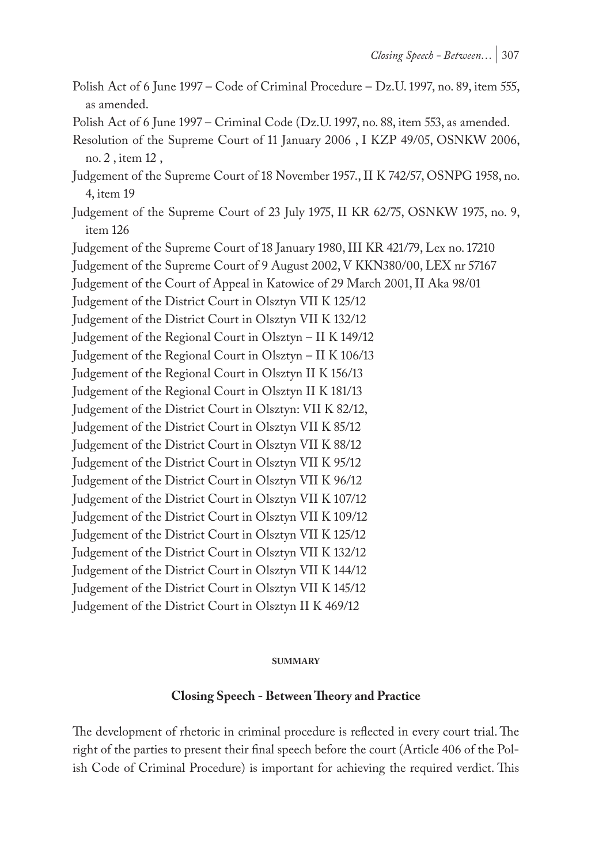- Polish Act of 6 June 1997 Code of Criminal Procedure Dz.U. 1997, no. 89, item 555, as amended.
- Polish Act of 6 June 1997 Criminal Code (Dz.U. 1997, no. 88, item 553, as amended.
- Resolution of the Supreme Court of 11 January 2006 , I KZP 49/05, OSNKW 2006, no. 2 , item 12 ,
- Judgement of the Supreme Court of 18 November 1957., II K 742/57, OSNPG 1958, no. 4, item 19
- Judgement of the Supreme Court of 23 July 1975, II KR 62/75, OSNKW 1975, no. 9, item 126

Judgement of the Supreme Court of 18 January 1980, III KR 421/79, Lex no. 17210 Judgement of the Supreme Court of 9 August 2002, V KKN380/00, LEX nr 57167 Judgement of the Court of Appeal in Katowice of 29 March 2001, II Aka 98/01 Judgement of the District Court in Olsztyn VII K 125/12 Judgement of the District Court in Olsztyn VII K 132/12 Judgement of the Regional Court in Olsztyn – II K 149/12 Judgement of the Regional Court in Olsztyn – II K 106/13 Judgement of the Regional Court in Olsztyn II K 156/13 Judgement of the Regional Court in Olsztyn II K 181/13 Judgement of the District Court in Olsztyn: VII K 82/12, Judgement of the District Court in Olsztyn VII K 85/12 Judgement of the District Court in Olsztyn VII K 88/12 Judgement of the District Court in Olsztyn VII K 95/12 Judgement of the District Court in Olsztyn VII K 96/12 Judgement of the District Court in Olsztyn VII K 107/12 Judgement of the District Court in Olsztyn VII K 109/12 Judgement of the District Court in Olsztyn VII K 125/12 Judgement of the District Court in Olsztyn VII K 132/12 Judgement of the District Court in Olsztyn VII K 144/12 Judgement of the District Court in Olsztyn VII K 145/12 Judgement of the District Court in Olsztyn II K 469/12

#### **summary**

#### **Closing Speech - Between Theory and Practice**

The development of rhetoric in criminal procedure is reflected in every court trial. The right of the parties to present their final speech before the court (Article 406 of the Polish Code of Criminal Procedure) is important for achieving the required verdict. This